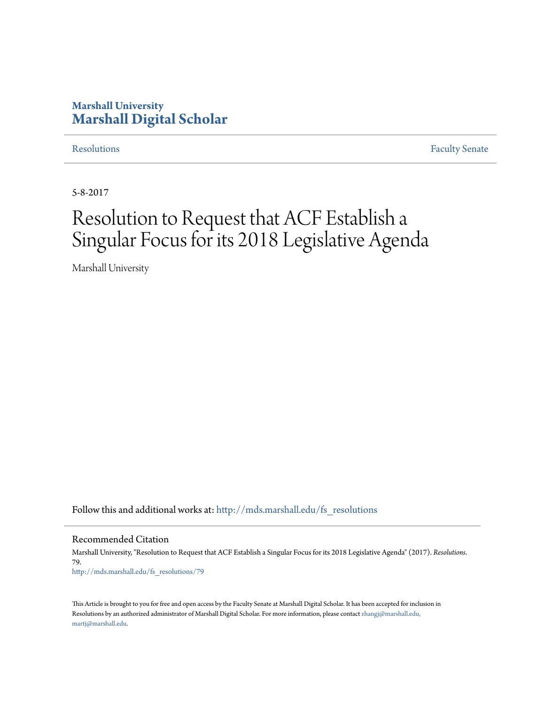## **Marshall University [Marshall Digital Scholar](http://mds.marshall.edu?utm_source=mds.marshall.edu%2Ffs_resolutions%2F79&utm_medium=PDF&utm_campaign=PDFCoverPages)**

[Resolutions](http://mds.marshall.edu/fs_resolutions?utm_source=mds.marshall.edu%2Ffs_resolutions%2F79&utm_medium=PDF&utm_campaign=PDFCoverPages) [Faculty Senate](http://mds.marshall.edu/fs?utm_source=mds.marshall.edu%2Ffs_resolutions%2F79&utm_medium=PDF&utm_campaign=PDFCoverPages)

5-8-2017

# Resolution to Request that ACF Establish a Singular Focus for its 2018 Legislative Agenda

Marshall University

Follow this and additional works at: [http://mds.marshall.edu/fs\\_resolutions](http://mds.marshall.edu/fs_resolutions?utm_source=mds.marshall.edu%2Ffs_resolutions%2F79&utm_medium=PDF&utm_campaign=PDFCoverPages)

Recommended Citation

Marshall University, "Resolution to Request that ACF Establish a Singular Focus for its 2018 Legislative Agenda" (2017). *Resolutions*. 79. [http://mds.marshall.edu/fs\\_resolutions/79](http://mds.marshall.edu/fs_resolutions/79?utm_source=mds.marshall.edu%2Ffs_resolutions%2F79&utm_medium=PDF&utm_campaign=PDFCoverPages)

This Article is brought to you for free and open access by the Faculty Senate at Marshall Digital Scholar. It has been accepted for inclusion in Resolutions by an authorized administrator of Marshall Digital Scholar. For more information, please contact [zhangj@marshall.edu,](mailto:zhangj@marshall.edu,%20martj@marshall.edu) [martj@marshall.edu](mailto:zhangj@marshall.edu,%20martj@marshall.edu).